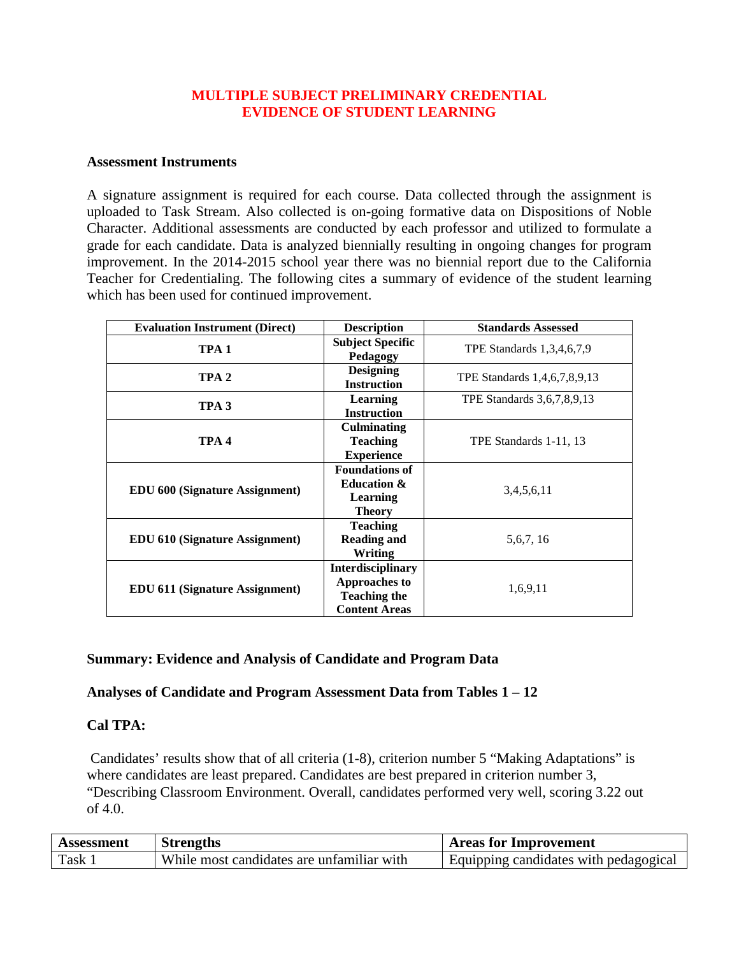### **MULTIPLE SUBJECT PRELIMINARY CREDENTIAL EVIDENCE OF STUDENT LEARNING**

#### **Assessment Instruments**

A signature assignment is required for each course. Data collected through the assignment is uploaded to Task Stream. Also collected is on-going formative data on Dispositions of Noble Character. Additional assessments are conducted by each professor and utilized to formulate a grade for each candidate. Data is analyzed biennially resulting in ongoing changes for program improvement. In the 2014-2015 school year there was no biennial report due to the California Teacher for Credentialing. The following cites a summary of evidence of the student learning which has been used for continued improvement.

| <b>Evaluation Instrument (Direct)</b> | <b>Description</b>                                                                              | <b>Standards Assessed</b>    |
|---------------------------------------|-------------------------------------------------------------------------------------------------|------------------------------|
| TPA <sub>1</sub>                      | <b>Subject Specific</b><br>Pedagogy                                                             | TPE Standards 1,3,4,6,7,9    |
| TPA <sub>2</sub>                      | <b>Designing</b><br><b>Instruction</b>                                                          | TPE Standards 1,4,6,7,8,9,13 |
| TPA <sub>3</sub>                      | <b>Learning</b><br><b>Instruction</b>                                                           | TPE Standards 3,6,7,8,9,13   |
| TPA <sub>4</sub>                      | <b>Culminating</b><br><b>Teaching</b><br><b>Experience</b>                                      | TPE Standards 1-11, 13       |
| <b>EDU 600 (Signature Assignment)</b> | <b>Foundations of</b><br><b>Education &amp;</b><br>Learning<br><b>Theory</b>                    | 3,4,5,6,11                   |
| <b>EDU 610 (Signature Assignment)</b> | <b>Teaching</b><br><b>Reading and</b><br>Writing                                                | 5, 6, 7, 16                  |
| <b>EDU 611 (Signature Assignment)</b> | <b>Interdisciplinary</b><br><b>Approaches to</b><br><b>Teaching the</b><br><b>Content Areas</b> | 1,6,9,11                     |

### **Summary: Evidence and Analysis of Candidate and Program Data**

### **Analyses of Candidate and Program Assessment Data from Tables 1 – 12**

### **Cal TPA:**

Candidates' results show that of all criteria (1-8), criterion number 5 "Making Adaptations" is where candidates are least prepared. Candidates are best prepared in criterion number 3, "Describing Classroom Environment. Overall, candidates performed very well, scoring 3.22 out of 4.0.

| Assessment | <b>Strengths</b>                          | <b>Areas for Improvement</b>          |
|------------|-------------------------------------------|---------------------------------------|
| Task       | While most candidates are unfamiliar with | Equipping candidates with pedagogical |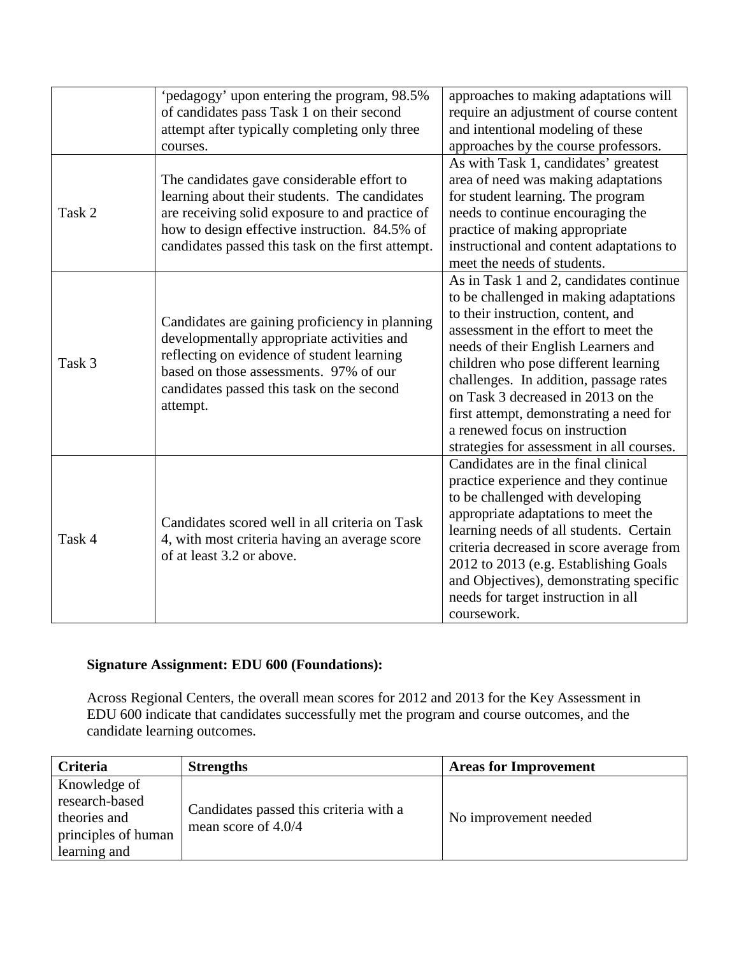| Task 2 | 'pedagogy' upon entering the program, 98.5%<br>of candidates pass Task 1 on their second<br>attempt after typically completing only three<br>courses.<br>The candidates gave considerable effort to<br>learning about their students. The candidates<br>are receiving solid exposure to and practice of<br>how to design effective instruction. 84.5% of | approaches to making adaptations will<br>require an adjustment of course content<br>and intentional modeling of these<br>approaches by the course professors.<br>As with Task 1, candidates' greatest<br>area of need was making adaptations<br>for student learning. The program<br>needs to continue encouraging the<br>practice of making appropriate                                                                                                 |
|--------|----------------------------------------------------------------------------------------------------------------------------------------------------------------------------------------------------------------------------------------------------------------------------------------------------------------------------------------------------------|----------------------------------------------------------------------------------------------------------------------------------------------------------------------------------------------------------------------------------------------------------------------------------------------------------------------------------------------------------------------------------------------------------------------------------------------------------|
|        | candidates passed this task on the first attempt.                                                                                                                                                                                                                                                                                                        | instructional and content adaptations to<br>meet the needs of students.                                                                                                                                                                                                                                                                                                                                                                                  |
| Task 3 | Candidates are gaining proficiency in planning<br>developmentally appropriate activities and<br>reflecting on evidence of student learning<br>based on those assessments. 97% of our<br>candidates passed this task on the second<br>attempt.                                                                                                            | As in Task 1 and 2, candidates continue<br>to be challenged in making adaptations<br>to their instruction, content, and<br>assessment in the effort to meet the<br>needs of their English Learners and<br>children who pose different learning<br>challenges. In addition, passage rates<br>on Task 3 decreased in 2013 on the<br>first attempt, demonstrating a need for<br>a renewed focus on instruction<br>strategies for assessment in all courses. |
| Task 4 | Candidates scored well in all criteria on Task<br>4, with most criteria having an average score<br>of at least 3.2 or above.                                                                                                                                                                                                                             | Candidates are in the final clinical<br>practice experience and they continue<br>to be challenged with developing<br>appropriate adaptations to meet the<br>learning needs of all students. Certain<br>criteria decreased in score average from<br>2012 to 2013 (e.g. Establishing Goals<br>and Objectives), demonstrating specific<br>needs for target instruction in all<br>coursework.                                                                |

### **Signature Assignment: EDU 600 (Foundations):**

Across Regional Centers, the overall mean scores for 2012 and 2013 for the Key Assessment in EDU 600 indicate that candidates successfully met the program and course outcomes, and the candidate learning outcomes.

| <b>Criteria</b>                                                                       | <b>Strengths</b>                                                | <b>Areas for Improvement</b> |
|---------------------------------------------------------------------------------------|-----------------------------------------------------------------|------------------------------|
| Knowledge of<br>research-based<br>theories and<br>principles of human<br>learning and | Candidates passed this criteria with a<br>mean score of $4.0/4$ | No improvement needed        |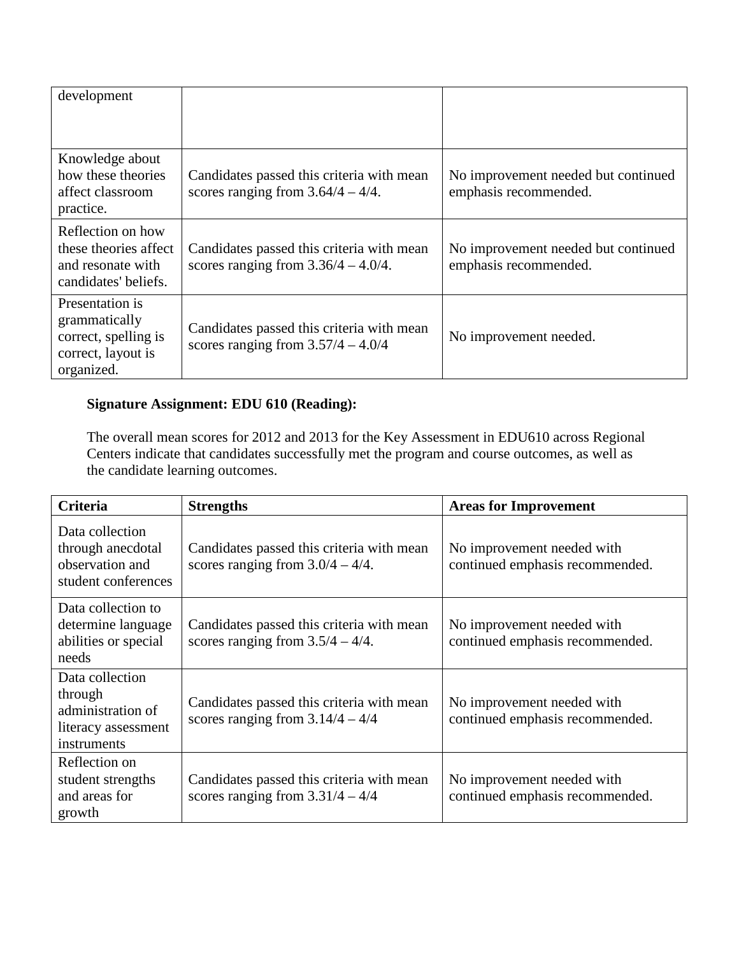| development                                                                                  |                                                                                     |                                                              |
|----------------------------------------------------------------------------------------------|-------------------------------------------------------------------------------------|--------------------------------------------------------------|
| Knowledge about<br>how these theories<br>affect classroom<br>practice.                       | Candidates passed this criteria with mean<br>scores ranging from $3.64/4 - 4/4$ .   | No improvement needed but continued<br>emphasis recommended. |
| Reflection on how<br>these theories affect<br>and resonate with<br>candidates' beliefs.      | Candidates passed this criteria with mean<br>scores ranging from $3.36/4 - 4.0/4$ . | No improvement needed but continued<br>emphasis recommended. |
| Presentation is<br>grammatically<br>correct, spelling is<br>correct, layout is<br>organized. | Candidates passed this criteria with mean<br>scores ranging from $3.57/4 - 4.0/4$   | No improvement needed.                                       |

# **Signature Assignment: EDU 610 (Reading):**

The overall mean scores for 2012 and 2013 for the Key Assessment in EDU610 across Regional Centers indicate that candidates successfully met the program and course outcomes, as well as the candidate learning outcomes.

| <b>Criteria</b>                                                                       | <b>Strengths</b>                                                                 | <b>Areas for Improvement</b>                                  |
|---------------------------------------------------------------------------------------|----------------------------------------------------------------------------------|---------------------------------------------------------------|
| Data collection<br>through anecdotal<br>observation and<br>student conferences        | Candidates passed this criteria with mean<br>scores ranging from $3.0/4 - 4/4$ . | No improvement needed with<br>continued emphasis recommended. |
| Data collection to<br>determine language<br>abilities or special<br>needs             | Candidates passed this criteria with mean<br>scores ranging from $3.5/4 - 4/4$ . | No improvement needed with<br>continued emphasis recommended. |
| Data collection<br>through<br>administration of<br>literacy assessment<br>instruments | Candidates passed this criteria with mean<br>scores ranging from $3.14/4 - 4/4$  | No improvement needed with<br>continued emphasis recommended. |
| Reflection on<br>student strengths<br>and areas for<br>growth                         | Candidates passed this criteria with mean<br>scores ranging from $3.31/4 - 4/4$  | No improvement needed with<br>continued emphasis recommended. |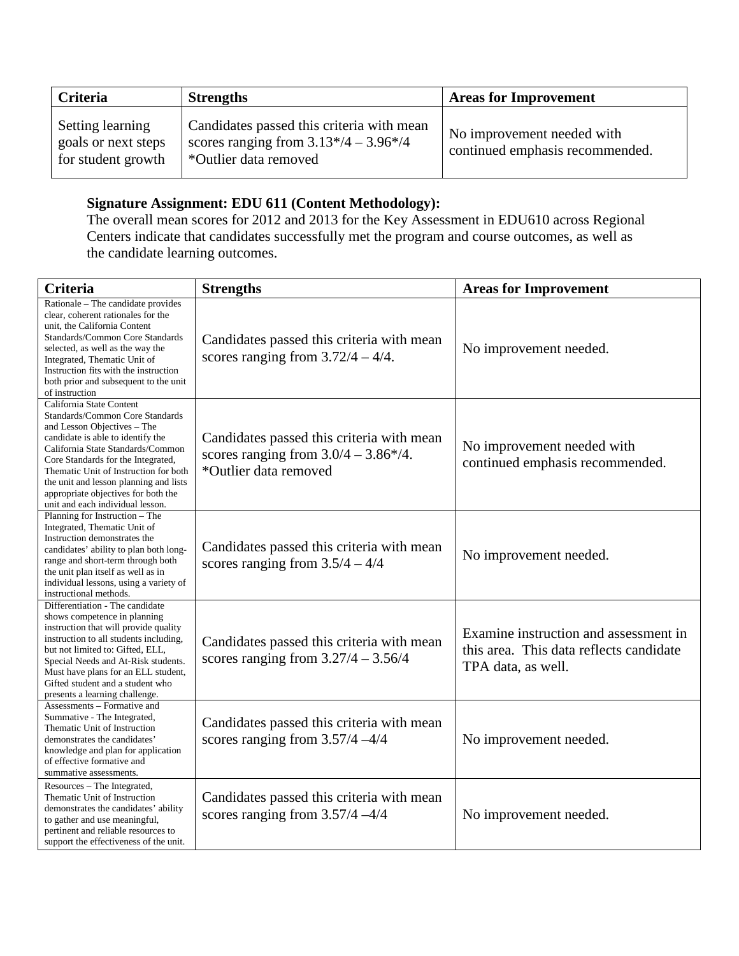| Criteria                                                      | <b>Strengths</b>                                                                                              | <b>Areas for Improvement</b>                                  |
|---------------------------------------------------------------|---------------------------------------------------------------------------------------------------------------|---------------------------------------------------------------|
| Setting learning<br>goals or next steps<br>for student growth | Candidates passed this criteria with mean<br>scores ranging from $3.13*/4 - 3.96*/4$<br>*Outlier data removed | No improvement needed with<br>continued emphasis recommended. |

# **Signature Assignment: EDU 611 (Content Methodology):**

The overall mean scores for 2012 and 2013 for the Key Assessment in EDU610 across Regional Centers indicate that candidates successfully met the program and course outcomes, as well as the candidate learning outcomes.

| <b>Criteria</b>                                                                                                                                                                                                                                                                                                                                                          | <b>Strengths</b>                                                                                              | <b>Areas for Improvement</b>                                                                           |
|--------------------------------------------------------------------------------------------------------------------------------------------------------------------------------------------------------------------------------------------------------------------------------------------------------------------------------------------------------------------------|---------------------------------------------------------------------------------------------------------------|--------------------------------------------------------------------------------------------------------|
| Rationale - The candidate provides<br>clear, coherent rationales for the<br>unit, the California Content<br>Standards/Common Core Standards<br>selected, as well as the way the<br>Integrated, Thematic Unit of<br>Instruction fits with the instruction<br>both prior and subsequent to the unit<br>of instruction                                                      | Candidates passed this criteria with mean<br>scores ranging from $3.72/4 - 4/4$ .                             | No improvement needed.                                                                                 |
| California State Content<br>Standards/Common Core Standards<br>and Lesson Objectives – The<br>candidate is able to identify the<br>California State Standards/Common<br>Core Standards for the Integrated,<br>Thematic Unit of Instruction for both<br>the unit and lesson planning and lists<br>appropriate objectives for both the<br>unit and each individual lesson. | Candidates passed this criteria with mean<br>scores ranging from $3.0/4 - 3.86*/4$ .<br>*Outlier data removed | No improvement needed with<br>continued emphasis recommended.                                          |
| Planning for Instruction - The<br>Integrated, Thematic Unit of<br>Instruction demonstrates the<br>candidates' ability to plan both long-<br>range and short-term through both<br>the unit plan itself as well as in<br>individual lessons, using a variety of<br>instructional methods.                                                                                  | Candidates passed this criteria with mean<br>scores ranging from $3.5/4 - 4/4$                                | No improvement needed.                                                                                 |
| Differentiation - The candidate<br>shows competence in planning<br>instruction that will provide quality<br>instruction to all students including,<br>but not limited to: Gifted, ELL,<br>Special Needs and At-Risk students.<br>Must have plans for an ELL student,<br>Gifted student and a student who<br>presents a learning challenge.                               | Candidates passed this criteria with mean<br>scores ranging from $3.27/4 - 3.56/4$                            | Examine instruction and assessment in<br>this area. This data reflects candidate<br>TPA data, as well. |
| Assessments – Formative and<br>Summative - The Integrated,<br>Thematic Unit of Instruction<br>demonstrates the candidates'<br>knowledge and plan for application<br>of effective formative and<br>summative assessments.                                                                                                                                                 | Candidates passed this criteria with mean<br>scores ranging from $3.57/4 - 4/4$                               | No improvement needed.                                                                                 |
| Resources – The Integrated,<br>Thematic Unit of Instruction<br>demonstrates the candidates' ability<br>to gather and use meaningful,<br>pertinent and reliable resources to<br>support the effectiveness of the unit.                                                                                                                                                    | Candidates passed this criteria with mean<br>scores ranging from $3.57/4 - 4/4$                               | No improvement needed.                                                                                 |